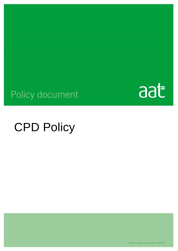

## Policy document

# CPD Policy

AAT is a registered charity. No. 1050724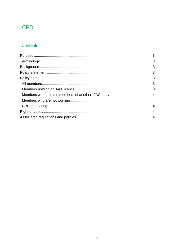## CPD

### Contents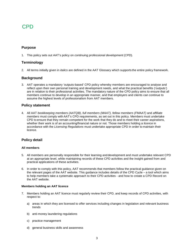## CPD

### <span id="page-2-0"></span>**Purpose**

1. This policy sets out AAT's policy on *continuing professional development* (*CPD*).

### **Terminology**

2. All terms initially given in *italics* are defined in the AAT Glossary which supports the entire policy framework.

#### **Background**

3. AAT operates a mandatory 'outputs-based' CPD policy whereby members are encouraged to analyse and reflect upon their own personal training and development needs, and what the practical benefits ('outputs') are in relation to their professional activities. The mandatory nature of the CPD policy aims to ensure that all members continue to develop in an appropriate manner, and that employers and clients can continue to assume the highest levels of professionalism from AAT members.

### <span id="page-2-2"></span>**Policy statement**

4. All AAT *bookkeeping members (AATQB)*, *full members (MAAT), fellow members (FMAAT)* and *affiliate members* must comply with AAT's CPD requirements, as set out in this policy. Members must undertake CPD to ensure that they remain competent for the work that they do and to meet their career aspirations, whether their work is of an accounting/financial nature or not. Those members holding a *licence* in accordance with the *Licensing Regulations* must undertake appropriate CPD in order to maintain their licence.

#### <span id="page-2-3"></span><span id="page-2-1"></span>**Policy detail**

#### <span id="page-2-4"></span>**All members**

- 5. All members are personally responsible for their learning and development and must undertake relevant CPD at an appropriate level, while maintaining records of these CPD activities and the insight gained from and practical applications of these activities.
- 6. In order to comply with this policy, AAT recommends that members follow the practical guidance given on the relevant pages of the AAT website. This guidance includes details of the CPD Cycle – a tool which aims to help members take a systematic approach to their CPD activities - and how to create a CPD Record on the AAT website.

#### **Members holding an AAT licence**

- 7. Members holding an AAT licence must regularly review their CPD, and keep records of CPD activities, with respect to:
	- a) areas in which they are licensed to offer services including changes in legislation and relevant business trends
	- b) anti-money laundering regulations
	- c) practice management
	- d) general business skills and awareness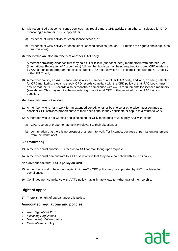- 8. It is recognised that some licence services may require more CPD activity than others. If selected for CPD monitoring a member must supply either
	- a) evidence of CPD activity for each licence service, or
	- b) evidence of CPD activity for each tier of licensed services (though AAT retains the right to challenge such submissions).

#### **Members who are also members of another IFAC body**

- 9. A member providing evidence that they hold full or fellow (but not student) membership with another IFAC (International Federation of Accountants) full member body can, on being required to submit CPD evidence by AAT's monitoring programme, elect to submit CPD records which are in compliance with the CPD policy of that IFAC body.
- 10. A member holding an AAT licence who is also a member of another IFAC body, and who, on being selected for CPD monitoring, elects to supply CPD records compliant with the CPD policy of that IFAC body, must ensure that their CPD records also demonstrate compliance with AAT's requirements for licensed members (see above). This may require the undertaking of additional CPD to that required by the IFAC body in question.

#### **Members who are not working**

- 11. A member who is not in work for an extended period, whether by choice or otherwise, must continue to consider CPD activities proportionate to their needs should they anticipate or aspire to a return to work.
- 12. A member who is not working and is selected for CPD monitoring must supply AAT with either
	- a) CPD records of proportionate activity relevant to their situation, or
	- b) confirmation that there is no prospect of a return to work (for instance, because of permanent retirement from the workplace).

#### <span id="page-3-0"></span>**CPD monitoring**

- 13. A member must submit CPD records to AAT for monitoring upon request.
- 14. A member must demonstrate to AAT's satisfaction that they have complied with its CPD policy.

#### **Non-compliance with AAT's policy on CPD**

- 15. A member found to be non-compliant with AAT's CPD policy may be supported by AAT to achieve full compliance.
- 16. Continued non-compliance with AAT's policy may ultimately lead to withdrawal of membership.

### <span id="page-3-1"></span>**Right of appeal**

17. There is no right of appeal under this policy.

#### <span id="page-3-2"></span>**Associated regulations and policies**

- *AAT Regulations 2021*
- *Licensing Regulations*
- *Membership Criteria* policy
- *Reinstatement* policy